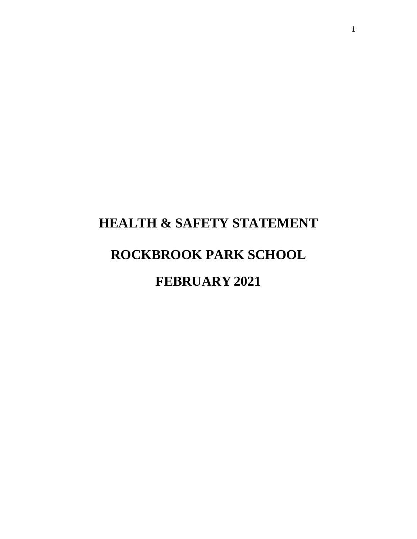# **HEALTH & SAFETY STATEMENT ROCKBROOK PARK SCHOOL FEBRUARY 2021**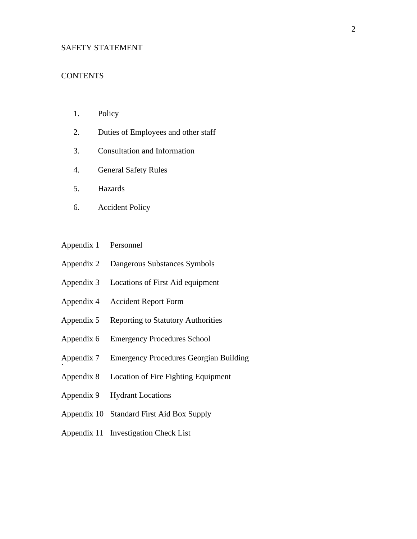#### SAFETY STATEMENT

#### **CONTENTS**

- 1. Policy
- 2. Duties of Employees and other staff
- 3. Consultation and Information
- 4. General Safety Rules
- 5. Hazards
- 6. Accident Policy
- Appendix 1 Personnel
- Appendix 2 Dangerous Substances Symbols
- Appendix 3 Locations of First Aid equipment
- Appendix 4 Accident Report Form
- Appendix 5 Reporting to Statutory Authorities
- Appendix 6 Emergency Procedures School
- Appendix 7 Emergency Procedures Georgian Building
- Appendix 8 Location of Fire Fighting Equipment
- Appendix 9 Hydrant Locations

`

- Appendix 10 Standard First Aid Box Supply
- Appendix 11 Investigation Check List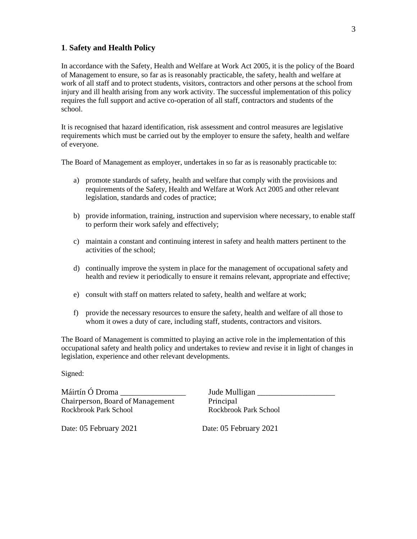#### **1**. **Safety and Health Policy**

In accordance with the Safety, Health and Welfare at Work Act 2005, it is the policy of the Board of Management to ensure, so far as is reasonably practicable, the safety, health and welfare at work of all staff and to protect students, visitors, contractors and other persons at the school from injury and ill health arising from any work activity. The successful implementation of this policy requires the full support and active co-operation of all staff, contractors and students of the school.

It is recognised that hazard identification, risk assessment and control measures are legislative requirements which must be carried out by the employer to ensure the safety, health and welfare of everyone.

The Board of Management as employer, undertakes in so far as is reasonably practicable to:

- a) promote standards of safety, health and welfare that comply with the provisions and requirements of the Safety, Health and Welfare at Work Act 2005 and other relevant legislation, standards and codes of practice;
- b) provide information, training, instruction and supervision where necessary, to enable staff to perform their work safely and effectively;
- c) maintain a constant and continuing interest in safety and health matters pertinent to the activities of the school;
- d) continually improve the system in place for the management of occupational safety and health and review it periodically to ensure it remains relevant, appropriate and effective;
- e) consult with staff on matters related to safety, health and welfare at work;
- f) provide the necessary resources to ensure the safety, health and welfare of all those to whom it owes a duty of care, including staff, students, contractors and visitors.

The Board of Management is committed to playing an active role in the implementation of this occupational safety and health policy and undertakes to review and revise it in light of changes in legislation, experience and other relevant developments.

Signed:

Máirtín Ó Droma \_\_\_\_\_\_\_\_\_\_\_\_\_\_\_\_ Jude Mulligan \_\_\_\_\_\_\_\_\_\_\_\_\_\_\_\_\_\_\_ Chairperson, Board of Management Principal Rockbrook Park School **Rockbrook Park School** Rockbrook Park School

Date: 05 February 2021 Date: 05 February 2021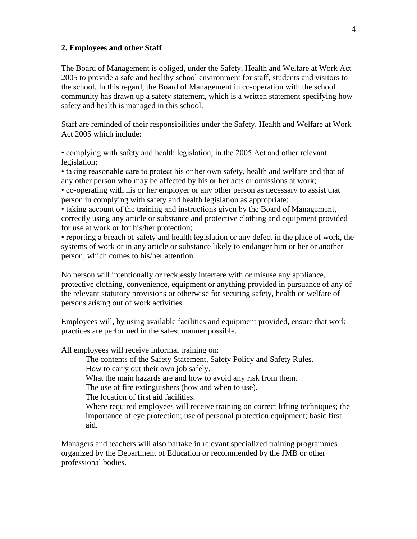#### **2. Employees and other Staff**

The Board of Management is obliged, under the Safety, Health and Welfare at Work Act 2005 to provide a safe and healthy school environment for staff, students and visitors to the school. In this regard, the Board of Management in co-operation with the school community has drawn up a safety statement, which is a written statement specifying how safety and health is managed in this school.

Staff are reminded of their responsibilities under the Safety, Health and Welfare at Work Act 2005 which include:

• complying with safety and health legislation, in the 2005 Act and other relevant legislation;

• taking reasonable care to protect his or her own safety, health and welfare and that of any other person who may be affected by his or her acts or omissions at work;

• co-operating with his or her employer or any other person as necessary to assist that person in complying with safety and health legislation as appropriate;

• taking account of the training and instructions given by the Board of Management, correctly using any article or substance and protective clothing and equipment provided for use at work or for his/her protection;

• reporting a breach of safety and health legislation or any defect in the place of work, the systems of work or in any article or substance likely to endanger him or her or another person, which comes to his/her attention.

No person will intentionally or recklessly interfere with or misuse any appliance, protective clothing, convenience, equipment or anything provided in pursuance of any of the relevant statutory provisions or otherwise for securing safety, health or welfare of persons arising out of work activities.

Employees will, by using available facilities and equipment provided, ensure that work practices are performed in the safest manner possible.

All employees will receive informal training on:

The contents of the Safety Statement, Safety Policy and Safety Rules. How to carry out their own job safely.

What the main hazards are and how to avoid any risk from them.

The use of fire extinguishers (how and when to use).

The location of first aid facilities.

Where required employees will receive training on correct lifting techniques; the importance of eye protection; use of personal protection equipment; basic first aid.

Managers and teachers will also partake in relevant specialized training programmes organized by the Department of Education or recommended by the JMB or other professional bodies.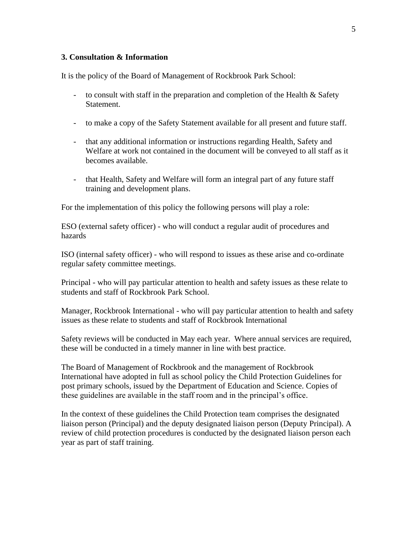#### **3. Consultation & Information**

It is the policy of the Board of Management of Rockbrook Park School:

- to consult with staff in the preparation and completion of the Health & Safety **Statement**
- to make a copy of the Safety Statement available for all present and future staff.
- that any additional information or instructions regarding Health, Safety and Welfare at work not contained in the document will be conveyed to all staff as it becomes available.
- that Health, Safety and Welfare will form an integral part of any future staff training and development plans.

For the implementation of this policy the following persons will play a role:

ESO (external safety officer) - who will conduct a regular audit of procedures and hazards

ISO (internal safety officer) - who will respond to issues as these arise and co-ordinate regular safety committee meetings.

Principal - who will pay particular attention to health and safety issues as these relate to students and staff of Rockbrook Park School.

Manager, Rockbrook International - who will pay particular attention to health and safety issues as these relate to students and staff of Rockbrook International

Safety reviews will be conducted in May each year. Where annual services are required, these will be conducted in a timely manner in line with best practice.

The Board of Management of Rockbrook and the management of Rockbrook International have adopted in full as school policy the Child Protection Guidelines for post primary schools, issued by the Department of Education and Science. Copies of these guidelines are available in the staff room and in the principal's office.

In the context of these guidelines the Child Protection team comprises the designated liaison person (Principal) and the deputy designated liaison person (Deputy Principal). A review of child protection procedures is conducted by the designated liaison person each year as part of staff training.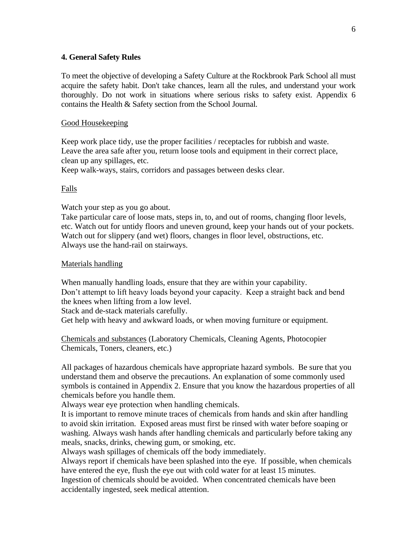#### **4. General Safety Rules**

To meet the objective of developing a Safety Culture at the Rockbrook Park School all must acquire the safety habit. Don't take chances, learn all the rules, and understand your work thoroughly. Do not work in situations where serious risks to safety exist. Appendix 6 contains the Health & Safety section from the School Journal.

#### Good Housekeeping

Keep work place tidy, use the proper facilities / receptacles for rubbish and waste. Leave the area safe after you, return loose tools and equipment in their correct place, clean up any spillages, etc.

Keep walk-ways, stairs, corridors and passages between desks clear.

#### Falls

Watch your step as you go about.

Take particular care of loose mats, steps in, to, and out of rooms, changing floor levels, etc. Watch out for untidy floors and uneven ground, keep your hands out of your pockets. Watch out for slippery (and wet) floors, changes in floor level, obstructions, etc. Always use the hand-rail on stairways.

#### Materials handling

When manually handling loads, ensure that they are within your capability. Don't attempt to lift heavy loads beyond your capacity. Keep a straight back and bend the knees when lifting from a low level. Stack and de-stack materials carefully.

Get help with heavy and awkward loads, or when moving furniture or equipment.

Chemicals and substances (Laboratory Chemicals, Cleaning Agents, Photocopier Chemicals, Toners, cleaners, etc.)

All packages of hazardous chemicals have appropriate hazard symbols. Be sure that you understand them and observe the precautions. An explanation of some commonly used symbols is contained in Appendix 2. Ensure that you know the hazardous properties of all chemicals before you handle them.

Always wear eye protection when handling chemicals.

It is important to remove minute traces of chemicals from hands and skin after handling to avoid skin irritation. Exposed areas must first be rinsed with water before soaping or washing. Always wash hands after handling chemicals and particularly before taking any meals, snacks, drinks, chewing gum, or smoking, etc.

Always wash spillages of chemicals off the body immediately.

Always report if chemicals have been splashed into the eye. If possible, when chemicals have entered the eye, flush the eye out with cold water for at least 15 minutes.

Ingestion of chemicals should be avoided. When concentrated chemicals have been accidentally ingested, seek medical attention.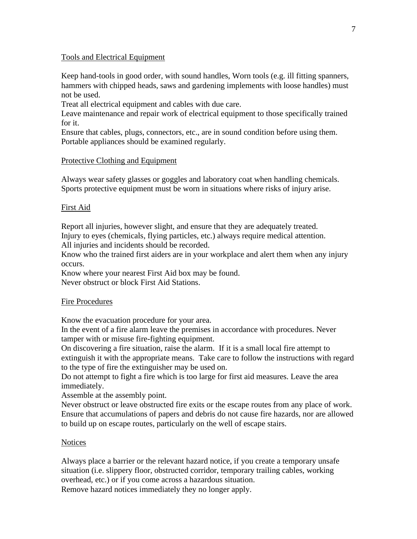#### Tools and Electrical Equipment

Keep hand-tools in good order, with sound handles, Worn tools (e.g. ill fitting spanners, hammers with chipped heads, saws and gardening implements with loose handles) must not be used.

Treat all electrical equipment and cables with due care.

Leave maintenance and repair work of electrical equipment to those specifically trained for it.

Ensure that cables, plugs, connectors, etc., are in sound condition before using them. Portable appliances should be examined regularly.

#### Protective Clothing and Equipment

Always wear safety glasses or goggles and laboratory coat when handling chemicals. Sports protective equipment must be worn in situations where risks of injury arise.

#### First Aid

Report all injuries, however slight, and ensure that they are adequately treated. Injury to eyes (chemicals, flying particles, etc.) always require medical attention.

All injuries and incidents should be recorded.

Know who the trained first aiders are in your workplace and alert them when any injury occurs.

Know where your nearest First Aid box may be found. Never obstruct or block First Aid Stations.

#### Fire Procedures

Know the evacuation procedure for your area.

In the event of a fire alarm leave the premises in accordance with procedures. Never tamper with or misuse fire-fighting equipment.

On discovering a fire situation, raise the alarm. If it is a small local fire attempt to extinguish it with the appropriate means. Take care to follow the instructions with regard to the type of fire the extinguisher may be used on.

Do not attempt to fight a fire which is too large for first aid measures. Leave the area immediately.

Assemble at the assembly point.

Never obstruct or leave obstructed fire exits or the escape routes from any place of work. Ensure that accumulations of papers and debris do not cause fire hazards, nor are allowed to build up on escape routes, particularly on the well of escape stairs.

#### **Notices**

Always place a barrier or the relevant hazard notice, if you create a temporary unsafe situation (i.e. slippery floor, obstructed corridor, temporary trailing cables, working overhead, etc.) or if you come across a hazardous situation. Remove hazard notices immediately they no longer apply.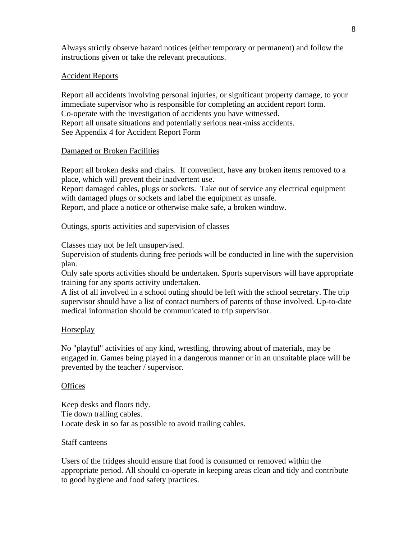Always strictly observe hazard notices (either temporary or permanent) and follow the instructions given or take the relevant precautions.

#### Accident Reports

Report all accidents involving personal injuries, or significant property damage, to your immediate supervisor who is responsible for completing an accident report form. Co-operate with the investigation of accidents you have witnessed. Report all unsafe situations and potentially serious near-miss accidents. See Appendix 4 for Accident Report Form

#### Damaged or Broken Facilities

Report all broken desks and chairs. If convenient, have any broken items removed to a place, which will prevent their inadvertent use.

Report damaged cables, plugs or sockets. Take out of service any electrical equipment with damaged plugs or sockets and label the equipment as unsafe.

Report, and place a notice or otherwise make safe, a broken window.

#### Outings, sports activities and supervision of classes

Classes may not be left unsupervised.

Supervision of students during free periods will be conducted in line with the supervision plan.

Only safe sports activities should be undertaken. Sports supervisors will have appropriate training for any sports activity undertaken.

A list of all involved in a school outing should be left with the school secretary. The trip supervisor should have a list of contact numbers of parents of those involved. Up-to-date medical information should be communicated to trip supervisor.

#### Horseplay

No "playful" activities of any kind, wrestling, throwing about of materials, may be engaged in. Games being played in a dangerous manner or in an unsuitable place will be prevented by the teacher / supervisor.

#### **Offices**

Keep desks and floors tidy. Tie down trailing cables. Locate desk in so far as possible to avoid trailing cables.

#### Staff canteens

Users of the fridges should ensure that food is consumed or removed within the appropriate period. All should co-operate in keeping areas clean and tidy and contribute to good hygiene and food safety practices.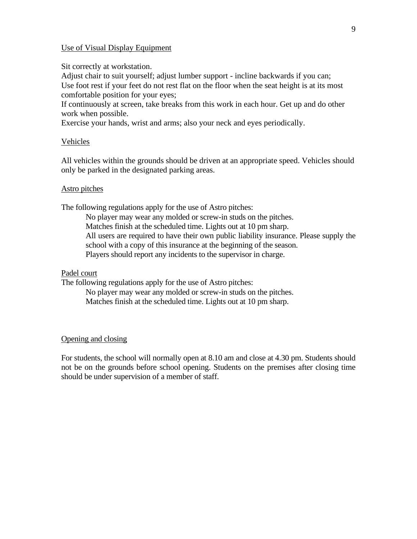#### Use of Visual Display Equipment

Sit correctly at workstation.

Adjust chair to suit yourself; adjust lumber support - incline backwards if you can; Use foot rest if your feet do not rest flat on the floor when the seat height is at its most comfortable position for your eyes;

If continuously at screen, take breaks from this work in each hour. Get up and do other work when possible.

Exercise your hands, wrist and arms; also your neck and eyes periodically.

#### Vehicles

All vehicles within the grounds should be driven at an appropriate speed. Vehicles should only be parked in the designated parking areas.

#### Astro pitches

The following regulations apply for the use of Astro pitches:

No player may wear any molded or screw-in studs on the pitches. Matches finish at the scheduled time. Lights out at 10 pm sharp. All users are required to have their own public liability insurance. Please supply the school with a copy of this insurance at the beginning of the season. Players should report any incidents to the supervisor in charge.

#### Padel court

The following regulations apply for the use of Astro pitches:

No player may wear any molded or screw-in studs on the pitches. Matches finish at the scheduled time. Lights out at 10 pm sharp.

#### Opening and closing

For students, the school will normally open at 8.10 am and close at 4.30 pm. Students should not be on the grounds before school opening. Students on the premises after closing time should be under supervision of a member of staff.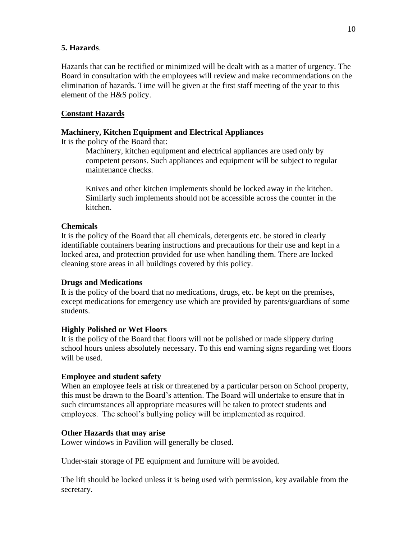#### **5. Hazards**.

Hazards that can be rectified or minimized will be dealt with as a matter of urgency. The Board in consultation with the employees will review and make recommendations on the elimination of hazards. Time will be given at the first staff meeting of the year to this element of the H&S policy.

#### **Constant Hazards**

#### **Machinery, Kitchen Equipment and Electrical Appliances**

It is the policy of the Board that:

Machinery, kitchen equipment and electrical appliances are used only by competent persons. Such appliances and equipment will be subject to regular maintenance checks.

Knives and other kitchen implements should be locked away in the kitchen. Similarly such implements should not be accessible across the counter in the kitchen.

#### **Chemicals**

It is the policy of the Board that all chemicals, detergents etc. be stored in clearly identifiable containers bearing instructions and precautions for their use and kept in a locked area, and protection provided for use when handling them. There are locked cleaning store areas in all buildings covered by this policy.

#### **Drugs and Medications**

It is the policy of the board that no medications, drugs, etc. be kept on the premises, except medications for emergency use which are provided by parents/guardians of some students.

#### **Highly Polished or Wet Floors**

It is the policy of the Board that floors will not be polished or made slippery during school hours unless absolutely necessary. To this end warning signs regarding wet floors will be used.

#### **Employee and student safety**

When an employee feels at risk or threatened by a particular person on School property, this must be drawn to the Board's attention. The Board will undertake to ensure that in such circumstances all appropriate measures will be taken to protect students and employees. The school's bullying policy will be implemented as required.

#### **Other Hazards that may arise**

Lower windows in Pavilion will generally be closed.

Under-stair storage of PE equipment and furniture will be avoided.

The lift should be locked unless it is being used with permission, key available from the secretary.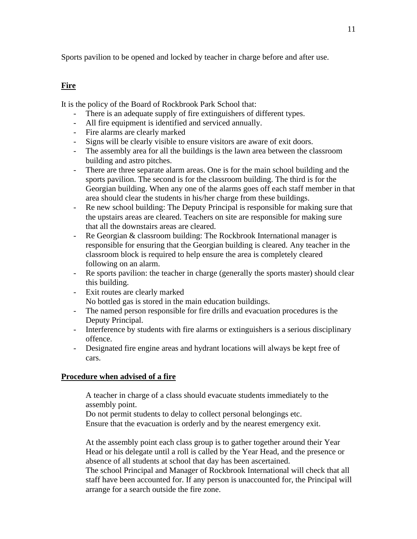Sports pavilion to be opened and locked by teacher in charge before and after use.

#### **Fire**

It is the policy of the Board of Rockbrook Park School that:

- There is an adequate supply of fire extinguishers of different types.
- All fire equipment is identified and serviced annually.
- Fire alarms are clearly marked
- Signs will be clearly visible to ensure visitors are aware of exit doors.
- The assembly area for all the buildings is the lawn area between the classroom building and astro pitches.
- There are three separate alarm areas. One is for the main school building and the sports pavilion. The second is for the classroom building. The third is for the Georgian building. When any one of the alarms goes off each staff member in that area should clear the students in his/her charge from these buildings.
- Re new school building: The Deputy Principal is responsible for making sure that the upstairs areas are cleared. Teachers on site are responsible for making sure that all the downstairs areas are cleared.
- Re Georgian & classroom building: The Rockbrook International manager is responsible for ensuring that the Georgian building is cleared. Any teacher in the classroom block is required to help ensure the area is completely cleared following on an alarm.
- Re sports pavilion: the teacher in charge (generally the sports master) should clear this building.
- Exit routes are clearly marked
	- No bottled gas is stored in the main education buildings.
- The named person responsible for fire drills and evacuation procedures is the Deputy Principal.
- Interference by students with fire alarms or extinguishers is a serious disciplinary offence.
- Designated fire engine areas and hydrant locations will always be kept free of cars.

#### **Procedure when advised of a fire**

A teacher in charge of a class should evacuate students immediately to the assembly point.

Do not permit students to delay to collect personal belongings etc. Ensure that the evacuation is orderly and by the nearest emergency exit.

At the assembly point each class group is to gather together around their Year Head or his delegate until a roll is called by the Year Head, and the presence or absence of all students at school that day has been ascertained.

The school Principal and Manager of Rockbrook International will check that all staff have been accounted for. If any person is unaccounted for, the Principal will arrange for a search outside the fire zone.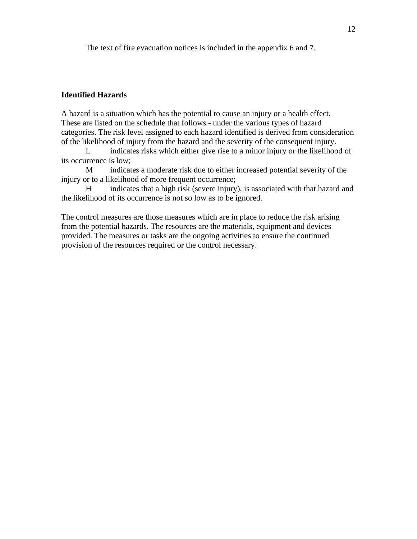The text of fire evacuation notices is included in the appendix 6 and 7.

#### **Identified Hazards**

A hazard is a situation which has the potential to cause an injury or a health effect. These are listed on the schedule that follows - under the various types of hazard categories. The risk level assigned to each hazard identified is derived from consideration of the likelihood of injury from the hazard and the severity of the consequent injury.

L indicates risks which either give rise to a minor injury or the likelihood of its occurrence is low;

M indicates a moderate risk due to either increased potential severity of the injury or to a likelihood of more frequent occurrence;

H indicates that a high risk (severe injury), is associated with that hazard and the likelihood of its occurrence is not so low as to be ignored.

The control measures are those measures which are in place to reduce the risk arising from the potential hazards. The resources are the materials, equipment and devices provided. The measures or tasks are the ongoing activities to ensure the continued provision of the resources required or the control necessary.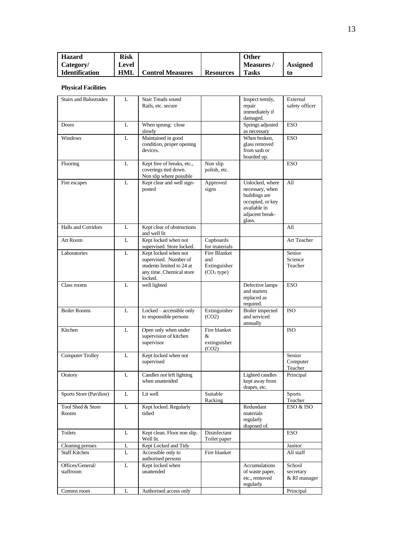| <b>Hazard</b>         | Risk  |                         |                  | Other           |          |
|-----------------------|-------|-------------------------|------------------|-----------------|----------|
| Category/             | Level |                         |                  | <b>Measures</b> | Assigned |
| <b>Identification</b> | HML   | <b>Control Measures</b> | <b>Resources</b> | <b>Tasks</b>    | to       |

#### **Physical Facilities**

| <b>Stairs and Balustrades</b> | L | <b>Stair Treads sound</b><br>Rails, etc. secure                                                                   |                                                                      | Inspect termly,<br>repair<br>immediately if<br>damaged.                                                              | External<br>safety officer          |
|-------------------------------|---|-------------------------------------------------------------------------------------------------------------------|----------------------------------------------------------------------|----------------------------------------------------------------------------------------------------------------------|-------------------------------------|
| <b>Doors</b>                  | L | When sprung: close<br>slowly                                                                                      |                                                                      | Springs adjusted<br>as necessary                                                                                     | <b>ESO</b>                          |
| <b>Windows</b>                | L | Maintained in good<br>condition, proper opening<br>devices.                                                       |                                                                      | When broken.<br>glass removed<br>from sash or<br>boarded up.                                                         | <b>ESO</b>                          |
| Flooring                      | L | Kept free of breaks, etc.,<br>coverings tied down.<br>Non slip where possible                                     | Non slip<br>polish, etc.                                             |                                                                                                                      | <b>ESO</b>                          |
| Fire escapes                  | L | Kept clear and well sign-<br>posted                                                                               | Approved<br>signs                                                    | Unlocked, where<br>necessary, when<br>buildings are<br>occupied, or key<br>available in<br>adjacent break-<br>glass. | All                                 |
| <b>Halls and Corridors</b>    | L | Kept clear of obstructions<br>and well lit                                                                        |                                                                      |                                                                                                                      | A11                                 |
| Art Room                      | L | Kept locked when not<br>supervised. Store locked.                                                                 | Cupboards<br>for materials                                           |                                                                                                                      | Art Teacher                         |
| Laboratories                  | L | Kept locked when not<br>supervised. Number of<br>students limited to 24 at<br>any time. Chemical store<br>locked. | <b>Fire Blanket</b><br>and<br>Extinguisher<br>(CO <sub>2</sub> type) |                                                                                                                      | Senior<br>Science<br>Teacher        |
| Class rooms                   | L | well lighted                                                                                                      |                                                                      | Defective lamps<br>and starters<br>replaced as<br>required.                                                          | <b>ESO</b>                          |
| <b>Boiler Rooms</b>           | L | Locked - accessible only<br>to responsible persons                                                                | Extinguisher<br>(CO2)                                                | Boiler inspected<br>and serviced<br>annually                                                                         | <b>ISO</b>                          |
| Kitchen                       | L | Open only when under<br>supervision of kitchen<br>supervisor                                                      | Fire blanket<br>&<br>extinguisher<br>(CO2)                           |                                                                                                                      | <b>ISO</b>                          |
| <b>Computer Trolley</b>       | L | Kept locked when not<br>supervised                                                                                |                                                                      |                                                                                                                      | Senior<br>Computer<br>Teacher       |
| Oratory                       | L | Candles not left lighting<br>when unattended                                                                      |                                                                      | Lighted candles<br>kept away from<br>drapes, etc.                                                                    | Principal                           |
| Sports Store (Pavilion)       | L | Lit well                                                                                                          | Suitable<br>Racking                                                  |                                                                                                                      | <b>Sports</b><br>Teacher            |
| Tool Shed & Store<br>Rooms    | L | Kept locked. Regularly<br>tidied                                                                                  |                                                                      | Redundant<br>materials<br>regularly<br>disposed of.                                                                  | ESO & ISO                           |
| Toilets                       | L | Kept clean. Floor non slip.<br>Well lit.                                                                          | Disinfectant<br>Toilet paper                                         |                                                                                                                      | <b>ESO</b>                          |
| Cleaning presses              | L | Kept Locked and Tidy                                                                                              |                                                                      |                                                                                                                      | Janitor                             |
| <b>Staff Kitchen</b>          | L | Accessible only to<br>authorised persons                                                                          | Fire blanket                                                         |                                                                                                                      | All staff                           |
| Offices/General/<br>staffroom | L | Kept locked when<br>unattended                                                                                    |                                                                      | Accumulations<br>of waste paper,<br>etc., removed<br>regularly                                                       | School<br>secretary<br>& RI manager |
| Comms room                    | L | Authorised access only                                                                                            |                                                                      |                                                                                                                      | Principal                           |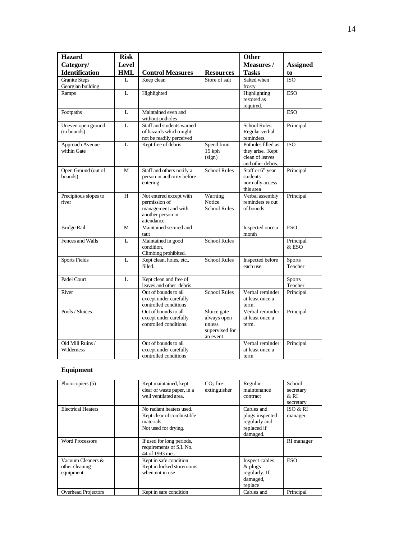| <b>Hazard</b><br>Category/                | <b>Risk</b><br>Level |                                                                                                     |                                                                    | <b>Other</b><br>Measures /                                                     | <b>Assigned</b>          |
|-------------------------------------------|----------------------|-----------------------------------------------------------------------------------------------------|--------------------------------------------------------------------|--------------------------------------------------------------------------------|--------------------------|
| <b>Identification</b>                     | <b>HML</b>           | <b>Control Measures</b>                                                                             | <b>Resources</b>                                                   | <b>Tasks</b>                                                                   | to                       |
| <b>Granite Steps</b><br>Georgian building | L                    | Keep clean                                                                                          | Store of salt                                                      | Salted when<br>frosty                                                          | <b>ISO</b>               |
| Ramps                                     | L                    | Highlighted                                                                                         |                                                                    | Highlighting<br>restored as<br>required.                                       | <b>ESO</b>               |
| Footpaths                                 | L                    | Maintained even and<br>without potholes                                                             |                                                                    |                                                                                | <b>ESO</b>               |
| Uneven open ground<br>(in bounds)         | L                    | Staff and students warned<br>of hazards which might<br>not be readily perceived                     |                                                                    | School Rules.<br>Regular verbal<br>reminders.                                  | Principal                |
| Approach Avenue<br>within Gate            | L                    | Kept free of debris                                                                                 | Speed limit<br>15 kph<br>(sign)                                    | Potholes filled as<br>they arise. Kept<br>clean of leaves<br>and other debris. | <b>ISO</b>               |
| Open Ground (out of<br>bounds)            | M                    | Staff and others notify a<br>person in authority before<br>entering                                 | <b>School Rules</b>                                                | Staff or 6 <sup>th</sup> year<br>students<br>normally access<br>this area      | Principal                |
| Precipitous slopes to<br>river            | H                    | Not entered except with<br>permission of<br>management and with<br>another person in<br>attendance. | Warning<br>Notice.<br><b>School Rules</b>                          | Verbal assembly<br>reminders re out<br>of bounds                               | Principal                |
| <b>Bridge Rail</b>                        | M                    | Maintained secured and<br>taut                                                                      |                                                                    | Inspected once a<br>month                                                      | <b>ESO</b>               |
| Fences and Walls                          | L                    | Maintained in good<br>condition.<br>Climbing prohibited.                                            | <b>School Rules</b>                                                |                                                                                | Principal<br>& ESO       |
| <b>Sports Fields</b>                      | L                    | Kept clean, holes, etc.,<br>filled.                                                                 | <b>School Rules</b>                                                | Inspected before<br>each use.                                                  | <b>Sports</b><br>Teacher |
| Padel Court                               | L                    | Kept clean and free of<br>leaves and other debris                                                   |                                                                    |                                                                                | <b>Sports</b><br>Teacher |
| River                                     |                      | Out of bounds to all<br>except under carefully<br>controlled conditions                             | <b>School Rules</b>                                                | Verbal reminder<br>at least once a<br>term.                                    | Principal                |
| Pools / Sluices                           |                      | Out of bounds to all<br>except under carefully<br>controlled conditions.                            | Sluice gate<br>always open<br>unless<br>supervised for<br>an event | Verbal reminder<br>at least once a<br>term.                                    | Principal                |
| Old Mill Ruins /<br>Wilderness            |                      | Out of bounds to all<br>except under carefully<br>controlled conditions                             |                                                                    | Verbal reminder<br>at least once a<br>term                                     | Principal                |

#### **Equipment**

| Photocopiers (5)                                 | Kept maintained, kept<br>clear of waste paper, in a<br>well ventilated area.                | $CO2$ fire<br>extinguisher | Regular<br>maintenance<br>contract                                        | School<br>secretary<br>&RI<br>secretary |
|--------------------------------------------------|---------------------------------------------------------------------------------------------|----------------------------|---------------------------------------------------------------------------|-----------------------------------------|
| <b>Electrical Heaters</b>                        | No radiant heaters used.<br>Kept clear of combustible<br>materials.<br>Not used for drying. |                            | Cables and<br>plugs inspected<br>regularly and<br>replaced if<br>damaged. | ISO & RI<br>manager                     |
| <b>Word Processors</b>                           | If used for long periods,<br>requirements of S.I. No.<br>44 of 1993 met.                    |                            |                                                                           | RI manager                              |
| Vacuum Cleaners &<br>other cleaning<br>equipment | Kept in safe condition<br>Kept in locked storerooms<br>when not in use                      |                            | Inspect cables<br>$&$ plugs<br>regularly. If<br>damaged,<br>replace       | ESO                                     |
| <b>Overhead Projectors</b>                       | Kept in safe condition                                                                      |                            | Cables and                                                                | Principal                               |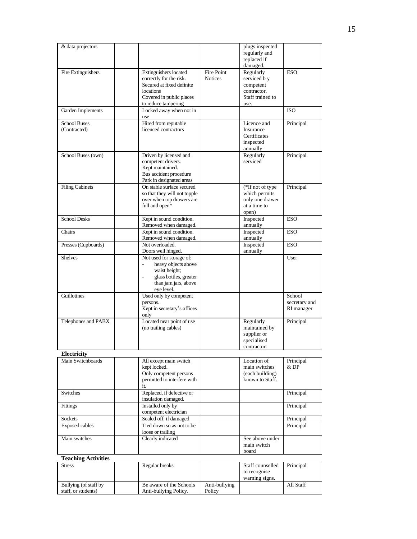| & data projectors                            |                                                                                                                                               |                              | plugs inspected<br>regularly and<br>replaced if<br>damaged.                       |                                       |
|----------------------------------------------|-----------------------------------------------------------------------------------------------------------------------------------------------|------------------------------|-----------------------------------------------------------------------------------|---------------------------------------|
| Fire Extinguishers                           | Extinguishers located<br>correctly for the risk.<br>Secured at fixed definite<br>locations<br>Covered in public places<br>to reduce tampering | Fire Point<br><b>Notices</b> | Regularly<br>serviced b y<br>competent<br>contractor.<br>Staff trained to<br>use. | <b>ESO</b>                            |
| Garden Implements                            | Locked away when not in<br>use                                                                                                                |                              |                                                                                   | <b>ISO</b>                            |
| <b>School Buses</b><br>(Contracted)          | Hired from reputable<br>licenced contractors                                                                                                  |                              | Licence and<br>Insurance<br>Certificates<br>inspected<br>annually                 | Principal                             |
| School Buses (own)                           | Driven by licensed and<br>competent drivers.<br>Kept maintained.<br>Bus accident procedure<br>Park in designated areas                        |                              | Regularly<br>serviced                                                             | Principal                             |
| <b>Filing Cabinets</b>                       | On stable surface secured<br>so that they will not topple<br>over when top drawers are<br>full and open*                                      |                              | (*If not of type<br>which permits<br>only one drawer<br>at a time to<br>open)     | Principal                             |
| <b>School Desks</b>                          | Kept in sound condition.<br>Removed when damaged.                                                                                             |                              | Inspected<br>annually                                                             | <b>ESO</b>                            |
| Chairs                                       | Kept in sound condition.<br>Removed when damaged.                                                                                             |                              | Inspected<br>annually                                                             | <b>ESO</b>                            |
| Presses (Cupboards)                          | Not overloaded.<br>Doors well hinged.                                                                                                         |                              | Inspected<br>annually                                                             | <b>ESO</b>                            |
| <b>Shelves</b>                               | Not used for storage of:<br>heavy objects above<br>÷.<br>waist height;<br>glass bottles, greater<br>than jam jars, above<br>eye level.        |                              |                                                                                   | User                                  |
| Guillotines                                  | Used only by competent<br>persons.<br>Kept in secretary's offices<br>only                                                                     |                              |                                                                                   | School<br>secretary and<br>RI manager |
| Telephones and PABX                          | Located near point of use<br>(no trailing cables)                                                                                             |                              | Regularly<br>maintained by<br>supplier or<br>specialised<br>contractor.           | Principal                             |
| Electricity                                  |                                                                                                                                               |                              |                                                                                   |                                       |
| Main Switchboards                            | All except main switch<br>kept locked.<br>Only competent persons<br>permitted to interfere with<br>it.                                        |                              | Location of<br>main switches<br>(each building)<br>known to Staff.                | Principal<br>& DP                     |
| Switches                                     | Replaced, if defective or<br>insulation damaged.                                                                                              |                              |                                                                                   | Principal                             |
| Fittings                                     | Installed only by<br>competent electrician                                                                                                    |                              |                                                                                   | Principal                             |
| Sockets                                      | Sealed off, if damaged                                                                                                                        |                              |                                                                                   | Principal                             |
| <b>Exposed cables</b>                        | Tied down so as not to be<br>loose or trailing                                                                                                |                              |                                                                                   | Principal                             |
| Main switches                                | Clearly indicated                                                                                                                             |                              | See above under<br>main switch<br>board                                           |                                       |
| <b>Teaching Activities</b>                   |                                                                                                                                               |                              |                                                                                   |                                       |
| <b>Stress</b>                                | Regular breaks                                                                                                                                |                              | Staff counselled<br>to recognise<br>warning signs.                                | Principal                             |
| Bullying (of staff by<br>staff, or students) | Be aware of the Schools<br>Anti-bullying Policy.                                                                                              | Anti-bullying<br>Policy      |                                                                                   | All Staff                             |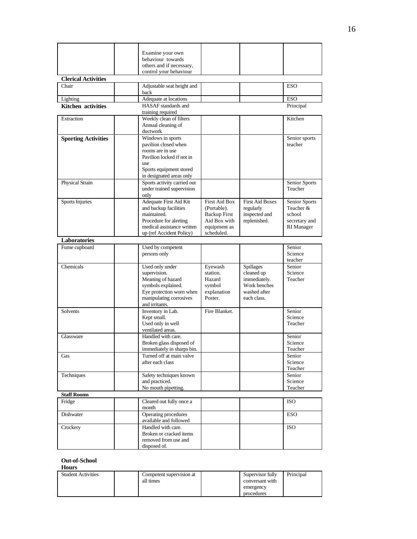|                            | Examine your own                                       |                            |                            |                    |
|----------------------------|--------------------------------------------------------|----------------------------|----------------------------|--------------------|
|                            | behaviour towards                                      |                            |                            |                    |
|                            | others and if necessary,                               |                            |                            |                    |
|                            | control your behaviour                                 |                            |                            |                    |
| <b>Clerical Activities</b> |                                                        |                            |                            |                    |
| Chair                      | Adjustable seat height and<br>back                     |                            |                            | <b>ESO</b>         |
| Lighting                   | Adequate at locations                                  |                            |                            | ESO                |
| <b>Kitchen</b> activities  | HASAF standards and                                    |                            |                            | Principal          |
|                            | training required                                      |                            |                            |                    |
| Extraction                 | Weekly clean of filters                                |                            |                            | Kitchen            |
|                            | Annual cleaning of<br>ductwork                         |                            |                            |                    |
| <b>Sporting Activities</b> | Windows in sports                                      |                            |                            | Senior sports      |
|                            | pavilion closed when                                   |                            |                            | teacher            |
|                            | rooms are in use                                       |                            |                            |                    |
|                            | Pavilion locked if not in<br>use                       |                            |                            |                    |
|                            | Sports equipment stored                                |                            |                            |                    |
|                            | in designated areas only                               |                            |                            |                    |
| Physical Strain            | Sports activity carried out                            |                            |                            | Senior Sports      |
|                            | under trained supervision                              |                            |                            | Teacher            |
| Sports Injuries            | only<br>Adequate First Aid Kit                         | <b>First Aid Box</b>       | <b>First Aid Boxes</b>     | Senior Sports      |
|                            | and backup facilities                                  | (Portable).                | regularly                  | Teacher &          |
|                            | maintained.                                            | <b>Backup First</b>        | inspected and              | school             |
|                            | Procedure for alerting                                 | Aid Box with               | replenished.               | secretary and      |
|                            | medical assistance written<br>up (ref Accident Policy) | equipment as<br>scheduled. |                            | RI Manager         |
| Laboratories               |                                                        |                            |                            |                    |
| Fume cupboard              | Used by competent                                      |                            |                            | Senior             |
|                            | persons only                                           |                            |                            | Science            |
|                            |                                                        |                            |                            | teacher            |
| Chemicals                  | Used only under                                        | Eyewash                    | <b>Spillages</b>           | Senior             |
|                            | supervision.<br>Meaning of hazard                      | station.<br>Hazard         | cleaned up<br>immediately. | Science<br>Teacher |
|                            | symbols explained.                                     | symbol                     | Work benches               |                    |
|                            | Eye protection worn when                               | explanation                | washed after               |                    |
|                            | manipulating corrosives                                | Poster.                    | each class.                |                    |
| Solvents                   | and irritants.<br>Inventory in Lab.                    | Fire Blanket.              |                            | Senior             |
|                            | Kept small.                                            |                            |                            | Science            |
|                            | Used only in well                                      |                            |                            | Teacher            |
|                            | ventilated areas.                                      |                            |                            |                    |
| Glassware                  | Handled with care.<br>Broken glass disposed of         |                            |                            | Senior<br>Science  |
|                            | immediately in sharps bin.                             |                            |                            | Teacher            |
| Gas                        | Turned off at main valve                               |                            |                            | Senior             |
|                            | after each class                                       |                            |                            | Science            |
|                            |                                                        |                            |                            | Teacher            |
| Techniques                 | Safety techniques known<br>and practiced.              |                            |                            | Senior<br>Science  |
|                            | No mouth pipetting.                                    |                            |                            | Teacher            |
| <b>Staff Rooms</b>         |                                                        |                            |                            |                    |
| Fridge                     | Cleared out fully once a                               |                            |                            | <b>ISO</b>         |
|                            | month                                                  |                            |                            |                    |
| Dishwater                  | Operating procedures<br>available and followed         |                            |                            | <b>ESO</b>         |
| Crockery                   | Handled with care.                                     |                            |                            | <b>ISO</b>         |
|                            | Broken or cracked items                                |                            |                            |                    |
|                            | removed from use and                                   |                            |                            |                    |
|                            | disposed of.                                           |                            |                            |                    |

#### **Out-of-School**

| <b>Hours</b>              |                                       |                                                                |           |
|---------------------------|---------------------------------------|----------------------------------------------------------------|-----------|
| <b>Student Activities</b> | Competent supervision at<br>all times | Supervisor fully<br>conversant with<br>emergency<br>procedures | Principal |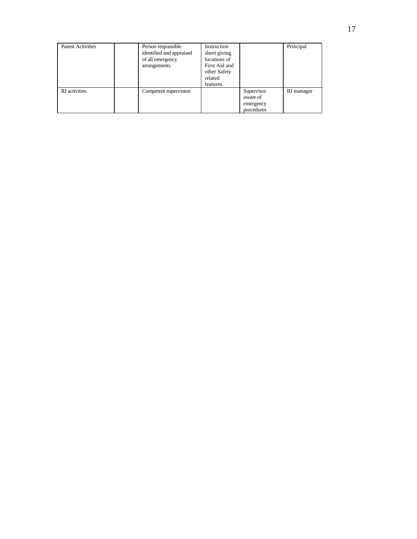| <b>Parent Activities</b> | Person responsible<br>identified and appraised<br>of all emergency<br>arrangements. | Instruction<br>sheet giving<br>locations of<br>First Aid and<br>other Safety<br>related<br>features. |                                                   | Principal  |
|--------------------------|-------------------------------------------------------------------------------------|------------------------------------------------------------------------------------------------------|---------------------------------------------------|------------|
| <b>RI</b> activities     | Competent supervision                                                               |                                                                                                      | Supervisor<br>aware of<br>emergency<br>procedures | RI manager |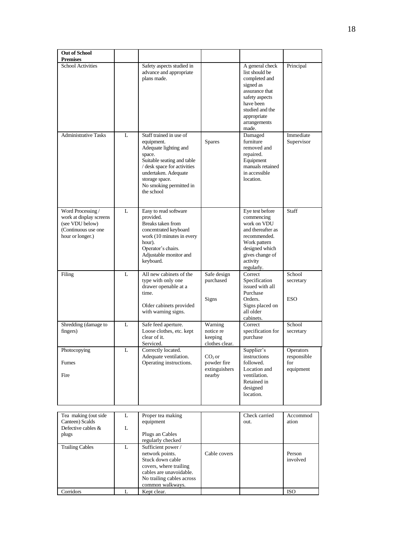| <b>Out of School</b><br><b>Premises</b>                                                                    |             |                                                                                                                                                                                                                          |                                                    |                                                                                                                                                                             |                                              |
|------------------------------------------------------------------------------------------------------------|-------------|--------------------------------------------------------------------------------------------------------------------------------------------------------------------------------------------------------------------------|----------------------------------------------------|-----------------------------------------------------------------------------------------------------------------------------------------------------------------------------|----------------------------------------------|
| <b>School Activities</b>                                                                                   |             | Safety aspects studied in<br>advance and appropriate<br>plans made.                                                                                                                                                      |                                                    | A general check<br>list should be<br>completed and<br>signed as<br>assurance that<br>safety aspects<br>have been<br>studied and the<br>appropriate<br>arrangements<br>made. | Principal                                    |
| <b>Administrative Tasks</b>                                                                                | L           | Staff trained in use of<br>equipment.<br>Adequate lighting and<br>space.<br>Suitable seating and table<br>/ desk space for activities<br>undertaken. Adequate<br>storage space.<br>No smoking permitted in<br>the school | <b>Spares</b>                                      | Damaged<br>furniture<br>removed and<br>repaired.<br>Equipment<br>manuals retained<br>in accessible<br>location.                                                             | Immediate<br>Supervisor                      |
| Word Processing /<br>work at display screens<br>(see VDU below)<br>(Continuous use one<br>hour or longer.) | L           | Easy to read software<br>provided.<br>Breaks taken from<br>concentrated keyboard<br>work (10 minutes in every<br>hour).<br>Operator's chairs.<br>Adjustable monitor and<br>keyboard.                                     |                                                    | Eye test before<br>commencing<br>work on VDU<br>and thereafter as<br>recommended.<br>Work pattern<br>designed which<br>gives change of<br>activity<br>regularly.            | Staff                                        |
| Filing                                                                                                     | L           | All new cabinets of the<br>type with only one<br>drawer openable at a<br>time.<br>Older cabinets provided<br>with warning signs.                                                                                         | Safe design<br>purchased<br>Signs                  | Correct<br>Specification<br>issued with all<br>Purchase<br>Orders.<br>Signs placed on<br>all older<br>cabinets.                                                             | School<br>secretary<br><b>ESO</b>            |
| Shredding (damage to<br>fingers)                                                                           | L           | Safe feed aperture.<br>Loose clothes, etc. kept<br>clear of it.<br>Serviced.                                                                                                                                             | Warning<br>notice re<br>keeping<br>clothes clear.  | Correct<br>specification for<br>purchase                                                                                                                                    | School<br>secretary                          |
| Photocopying<br>Fumes<br>Fire                                                                              | L           | Correctly located.<br>Adequate ventilation.<br>Operating instructions.                                                                                                                                                   | $CO2$ or<br>powder fire<br>extinguishers<br>nearby | Supplier's<br>instructions<br>followed.<br>Location and<br>ventilation.<br>Retained in<br>designed<br>location.                                                             | Operators<br>responsible<br>for<br>equipment |
| Tea making (out side<br>Canteen) Scalds<br>Defective cables $\&$<br>plugs                                  | L<br>L<br>L | Proper tea making<br>equipment<br>Plugs an Cables<br>regularly checked                                                                                                                                                   |                                                    | Check carried<br>out.                                                                                                                                                       | Accommod<br>ation                            |
| <b>Trailing Cables</b>                                                                                     |             | Sufficient power /<br>network points.<br>Stuck down cable<br>covers, where trailing<br>cables are unavoidable.<br>No trailing cables across                                                                              | Cable covers                                       |                                                                                                                                                                             | Person<br>involved                           |

common walkways.

Corridors L Kept clear. ISO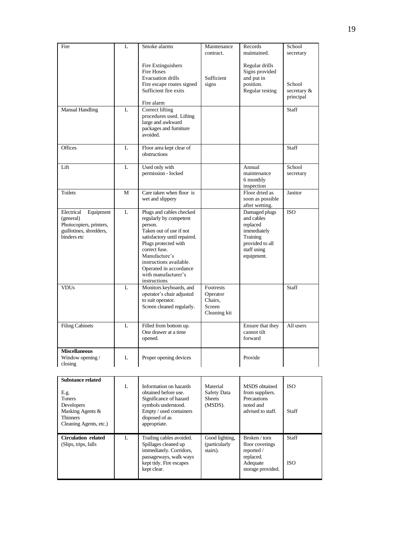| Fire                                                                                                               | L | Smoke alarms                                                                                                                                                                                                                                                                   | Maintenance<br>contract.                                   | Records<br>maintained.                                                                                             | School<br>secretary                |
|--------------------------------------------------------------------------------------------------------------------|---|--------------------------------------------------------------------------------------------------------------------------------------------------------------------------------------------------------------------------------------------------------------------------------|------------------------------------------------------------|--------------------------------------------------------------------------------------------------------------------|------------------------------------|
|                                                                                                                    |   | Fire Extinguishers<br>Fire Hoses<br><b>Evacuation drills</b><br>Fire escape routes signed<br>Sufficient fire exits                                                                                                                                                             | Sufficient<br>signs                                        | Regular drills<br>Signs provided<br>and put in<br>position.<br>Regular testing                                     | School<br>secretary &<br>principal |
| <b>Manual Handling</b>                                                                                             | L | Fire alarm<br>Correct lifting<br>procedures used. Lifting<br>large and awkward<br>packages and furniture<br>avoided.                                                                                                                                                           |                                                            |                                                                                                                    | Staff                              |
| Offices                                                                                                            | L | Floor area kept clear of<br>obstructions                                                                                                                                                                                                                                       |                                                            |                                                                                                                    | Staff                              |
| Lift                                                                                                               | L | Used only with<br>permission - locked                                                                                                                                                                                                                                          |                                                            | Annual<br>maintenance<br>6 monthly<br>inspection                                                                   | School<br>secretary                |
| <b>Toilets</b>                                                                                                     | M | Care taken when floor is<br>wet and slippery                                                                                                                                                                                                                                   |                                                            | Floor dried as<br>soon as possible<br>after wetting.                                                               | Janitor                            |
| Electrical<br>Equipment<br>(general)<br>Photocopiers, printers,<br>guillotines, shredders,<br>binders etc          | L | Plugs and cables checked<br>regularly by competent<br>person.<br>Taken out of use if not<br>satisfactory until repaired.<br>Plugs protected with<br>correct fuse.<br>Manufacture's<br>instructions available.<br>Operated in accordance<br>with manufacturer's<br>instructions |                                                            | Damaged plugs<br>and cables<br>replaced<br>immediately<br>Training<br>provided to all<br>staff using<br>equipment. | <b>ISO</b>                         |
| <b>VDUs</b>                                                                                                        | L | Monitors keyboards, and<br>operator's chair adjusted<br>to suit operator.<br>Screen cleaned regularly.                                                                                                                                                                         | Footrests<br>Operator<br>Chairs.<br>Screen<br>Cleaning kit |                                                                                                                    | Staff                              |
| <b>Filing Cabinets</b>                                                                                             | L | Filled from bottom up.<br>One drawer at a time<br>opened.                                                                                                                                                                                                                      |                                                            | Ensure that they<br>cannot tilt<br>forward                                                                         | All users                          |
| <b>Miscellaneous</b><br>Window opening /<br>closing                                                                | L | Proper opening devices                                                                                                                                                                                                                                                         |                                                            | Provide                                                                                                            |                                    |
| <b>Substance related</b><br>E.g.<br>Toners<br>Developers<br>Masking Agents &<br>Thinners<br>Cleaning Agents, etc.) | L | Information on hazards<br>obtained before use.<br>Significance of hazard<br>symbols understood.<br>Empty / used containers<br>disposed of as<br>appropriate.                                                                                                                   | Material<br>Safety Data<br><b>Sheets</b><br>(MSDS).        | MSDS obtained<br>from suppliers.<br>Precautions<br>noted and<br>advised to staff.                                  | <b>ISO</b><br>Staff                |
| <b>Circulation related</b><br>(Slips, trips, falls)                                                                | L | Trailing cables avoided.<br>Spillages cleaned up<br>immediately. Corridors,<br>passageways, walk ways<br>kept tidy. Fire escapes<br>kept clear.                                                                                                                                | Good lighting,<br>(particularly<br>stairs).                | Broken / torn<br>floor coverings<br>reported /<br>replaced.<br>Adequate<br>storage provided.                       | Staff<br><b>ISO</b>                |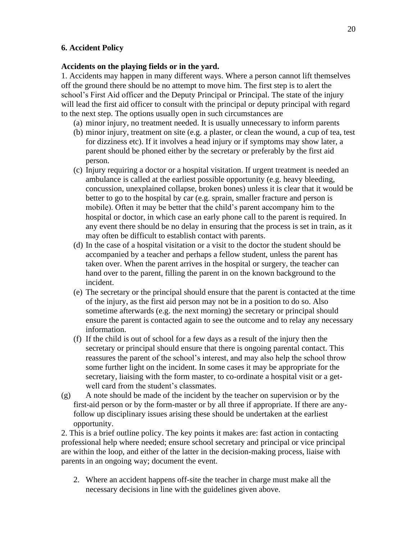#### **6. Accident Policy**

#### **Accidents on the playing fields or in the yard.**

1. Accidents may happen in many different ways. Where a person cannot lift themselves off the ground there should be no attempt to move him. The first step is to alert the school's First Aid officer and the Deputy Principal or Principal. The state of the injury will lead the first aid officer to consult with the principal or deputy principal with regard to the next step. The options usually open in such circumstances are

- (a) minor injury, no treatment needed. It is usually unnecessary to inform parents
- (b) minor injury, treatment on site (e.g. a plaster, or clean the wound, a cup of tea, test for dizziness etc). If it involves a head injury or if symptoms may show later, a parent should be phoned either by the secretary or preferably by the first aid person.
- (c) Injury requiring a doctor or a hospital visitation. If urgent treatment is needed an ambulance is called at the earliest possible opportunity (e.g. heavy bleeding, concussion, unexplained collapse, broken bones) unless it is clear that it would be better to go to the hospital by car (e.g. sprain, smaller fracture and person is mobile). Often it may be better that the child's parent accompany him to the hospital or doctor, in which case an early phone call to the parent is required. In any event there should be no delay in ensuring that the process is set in train, as it may often be difficult to establish contact with parents.
- (d) In the case of a hospital visitation or a visit to the doctor the student should be accompanied by a teacher and perhaps a fellow student, unless the parent has taken over. When the parent arrives in the hospital or surgery, the teacher can hand over to the parent, filling the parent in on the known background to the incident.
- (e) The secretary or the principal should ensure that the parent is contacted at the time of the injury, as the first aid person may not be in a position to do so. Also sometime afterwards (e.g. the next morning) the secretary or principal should ensure the parent is contacted again to see the outcome and to relay any necessary information.
- (f) If the child is out of school for a few days as a result of the injury then the secretary or principal should ensure that there is ongoing parental contact. This reassures the parent of the school's interest, and may also help the school throw some further light on the incident. In some cases it may be appropriate for the secretary, liaising with the form master, to co-ordinate a hospital visit or a getwell card from the student's classmates.
- (g) A note should be made of the incident by the teacher on supervision or by the first-aid person or by the form-master or by all three if appropriate. If there are anyfollow up disciplinary issues arising these should be undertaken at the earliest opportunity.

2. This is a brief outline policy. The key points it makes are: fast action in contacting professional help where needed; ensure school secretary and principal or vice principal are within the loop, and either of the latter in the decision-making process, liaise with parents in an ongoing way; document the event.

2. Where an accident happens off-site the teacher in charge must make all the necessary decisions in line with the guidelines given above.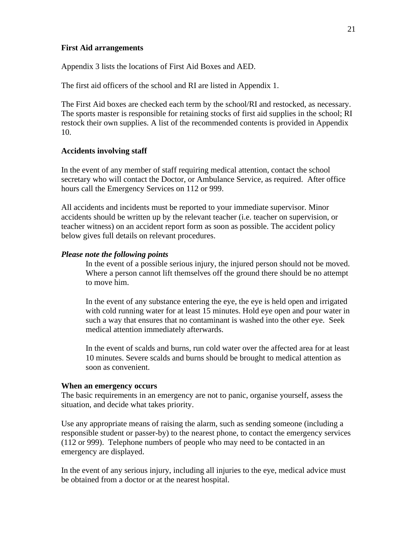#### **First Aid arrangements**

Appendix 3 lists the locations of First Aid Boxes and AED.

The first aid officers of the school and RI are listed in Appendix 1.

The First Aid boxes are checked each term by the school/RI and restocked, as necessary. The sports master is responsible for retaining stocks of first aid supplies in the school; RI restock their own supplies. A list of the recommended contents is provided in Appendix 10.

#### **Accidents involving staff**

In the event of any member of staff requiring medical attention, contact the school secretary who will contact the Doctor, or Ambulance Service, as required. After office hours call the Emergency Services on 112 or 999.

All accidents and incidents must be reported to your immediate supervisor. Minor accidents should be written up by the relevant teacher (i.e. teacher on supervision, or teacher witness) on an accident report form as soon as possible. The accident policy below gives full details on relevant procedures.

#### *Please note the following points*

In the event of a possible serious injury, the injured person should not be moved. Where a person cannot lift themselves off the ground there should be no attempt to move him.

In the event of any substance entering the eye, the eye is held open and irrigated with cold running water for at least 15 minutes. Hold eye open and pour water in such a way that ensures that no contaminant is washed into the other eye. Seek medical attention immediately afterwards.

In the event of scalds and burns, run cold water over the affected area for at least 10 minutes. Severe scalds and burns should be brought to medical attention as soon as convenient.

#### **When an emergency occurs**

The basic requirements in an emergency are not to panic, organise yourself, assess the situation, and decide what takes priority.

Use any appropriate means of raising the alarm, such as sending someone (including a responsible student or passer-by) to the nearest phone, to contact the emergency services (112 or 999). Telephone numbers of people who may need to be contacted in an emergency are displayed.

In the event of any serious injury, including all injuries to the eye, medical advice must be obtained from a doctor or at the nearest hospital.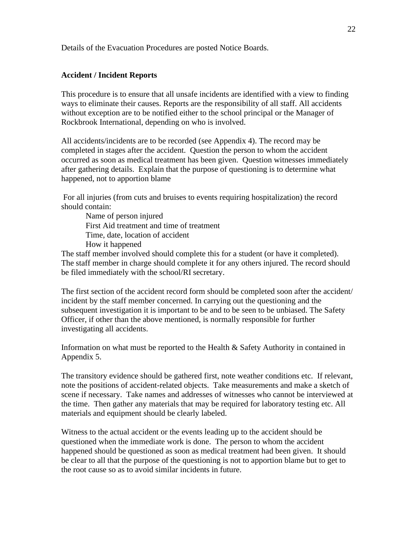Details of the Evacuation Procedures are posted Notice Boards.

#### **Accident / Incident Reports**

This procedure is to ensure that all unsafe incidents are identified with a view to finding ways to eliminate their causes. Reports are the responsibility of all staff. All accidents without exception are to be notified either to the school principal or the Manager of Rockbrook International, depending on who is involved.

All accidents/incidents are to be recorded (see Appendix 4). The record may be completed in stages after the accident. Question the person to whom the accident occurred as soon as medical treatment has been given. Question witnesses immediately after gathering details. Explain that the purpose of questioning is to determine what happened, not to apportion blame

For all injuries (from cuts and bruises to events requiring hospitalization) the record should contain:

Name of person injured First Aid treatment and time of treatment Time, date, location of accident How it happened

The staff member involved should complete this for a student (or have it completed). The staff member in charge should complete it for any others injured. The record should be filed immediately with the school/RI secretary.

The first section of the accident record form should be completed soon after the accident/ incident by the staff member concerned. In carrying out the questioning and the subsequent investigation it is important to be and to be seen to be unbiased. The Safety Officer, if other than the above mentioned, is normally responsible for further investigating all accidents.

Information on what must be reported to the Health & Safety Authority in contained in Appendix 5.

The transitory evidence should be gathered first, note weather conditions etc. If relevant, note the positions of accident-related objects. Take measurements and make a sketch of scene if necessary. Take names and addresses of witnesses who cannot be interviewed at the time. Then gather any materials that may be required for laboratory testing etc. All materials and equipment should be clearly labeled.

Witness to the actual accident or the events leading up to the accident should be questioned when the immediate work is done. The person to whom the accident happened should be questioned as soon as medical treatment had been given. It should be clear to all that the purpose of the questioning is not to apportion blame but to get to the root cause so as to avoid similar incidents in future.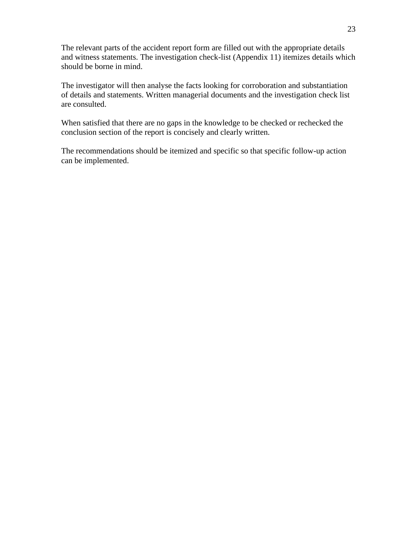The relevant parts of the accident report form are filled out with the appropriate details and witness statements. The investigation check-list (Appendix 11) itemizes details which should be borne in mind.

The investigator will then analyse the facts looking for corroboration and substantiation of details and statements. Written managerial documents and the investigation check list are consulted.

When satisfied that there are no gaps in the knowledge to be checked or rechecked the conclusion section of the report is concisely and clearly written.

The recommendations should be itemized and specific so that specific follow-up action can be implemented.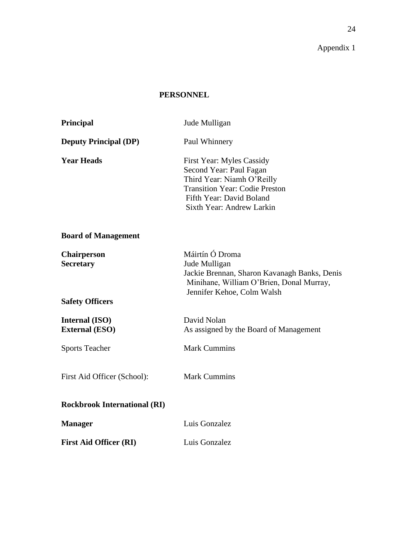### **PERSONNEL**

| Principal                                                        | Jude Mulligan                                                                                                                                                                               |
|------------------------------------------------------------------|---------------------------------------------------------------------------------------------------------------------------------------------------------------------------------------------|
| <b>Deputy Principal (DP)</b>                                     | Paul Whinnery                                                                                                                                                                               |
| <b>Year Heads</b>                                                | <b>First Year: Myles Cassidy</b><br>Second Year: Paul Fagan<br>Third Year: Niamh O'Reilly<br><b>Transition Year: Codie Preston</b><br>Fifth Year: David Boland<br>Sixth Year: Andrew Larkin |
| <b>Board of Management</b>                                       |                                                                                                                                                                                             |
| <b>Chairperson</b><br><b>Secretary</b><br><b>Safety Officers</b> | Máirtín Ó Droma<br>Jude Mulligan<br>Jackie Brennan, Sharon Kavanagh Banks, Denis<br>Minihane, William O'Brien, Donal Murray,<br>Jennifer Kehoe, Colm Walsh                                  |
| Internal (ISO)<br><b>External (ESO)</b>                          | David Nolan<br>As assigned by the Board of Management                                                                                                                                       |
| <b>Sports Teacher</b>                                            | <b>Mark Cummins</b>                                                                                                                                                                         |
| First Aid Officer (School):                                      | <b>Mark Cummins</b>                                                                                                                                                                         |
| <b>Rockbrook International (RI)</b>                              |                                                                                                                                                                                             |
| <b>Manager</b>                                                   | Luis Gonzalez                                                                                                                                                                               |
| <b>First Aid Officer (RI)</b>                                    | Luis Gonzalez                                                                                                                                                                               |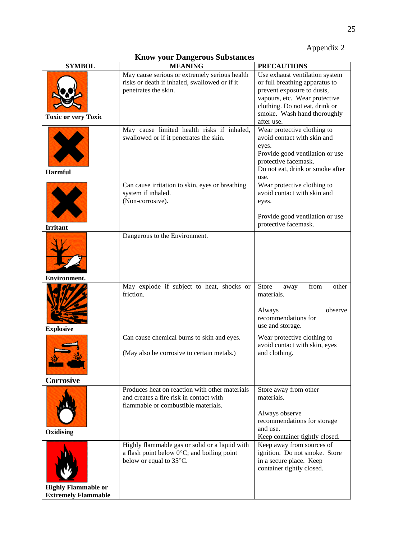#### **Know your Dangerous Substances**

| <b>SYMBOL</b>                                            | <b>MEANING</b>                                                                                                                    | <b>PRECAUTIONS</b>                                                                                                                                                                                             |
|----------------------------------------------------------|-----------------------------------------------------------------------------------------------------------------------------------|----------------------------------------------------------------------------------------------------------------------------------------------------------------------------------------------------------------|
| <b>Toxic or very Toxic</b>                               | May cause serious or extremely serious health<br>risks or death if inhaled, swallowed or if it<br>penetrates the skin.            | Use exhaust ventilation system<br>or full breathing apparatus to<br>prevent exposure to dusts,<br>vapours, etc. Wear protective<br>clothing. Do not eat, drink or<br>smoke. Wash hand thoroughly<br>after use. |
| <b>Harmful</b>                                           | May cause limited health risks if inhaled,<br>swallowed or if it penetrates the skin.                                             | Wear protective clothing to<br>avoid contact with skin and<br>eyes.<br>Provide good ventilation or use<br>protective facemask.<br>Do not eat, drink or smoke after<br>use.                                     |
| <b>Irritant</b>                                          | Can cause irritation to skin, eyes or breathing<br>system if inhaled.<br>(Non-corrosive).                                         | Wear protective clothing to<br>avoid contact with skin and<br>eyes.<br>Provide good ventilation or use<br>protective facemask.                                                                                 |
| Environment                                              | Dangerous to the Environment.                                                                                                     |                                                                                                                                                                                                                |
| <b>Explosive</b>                                         | May explode if subject to heat, shocks or<br>friction.                                                                            | Store<br>from<br>other<br>away<br>materials.<br>Always<br>observe<br>recommendations for<br>use and storage.                                                                                                   |
| Corrosive                                                | Can cause chemical burns to skin and eyes.<br>(May also be corrosive to certain metals.)                                          | Wear protective clothing to<br>avoid contact with skin, eyes<br>and clothing.                                                                                                                                  |
| Oxidising                                                | Produces heat on reaction with other materials<br>and creates a fire risk in contact with<br>flammable or combustible materials.  | Store away from other<br>materials.<br>Always observe<br>recommendations for storage<br>and use.<br>Keep container tightly closed.                                                                             |
| <b>Highly Flammable or</b><br><b>Extremely Flammable</b> | Highly flammable gas or solid or a liquid with<br>a flash point below $0^{\circ}$ C; and boiling point<br>below or equal to 35°C. | Keep away from sources of<br>ignition. Do not smoke. Store<br>in a secure place. Keep<br>container tightly closed.                                                                                             |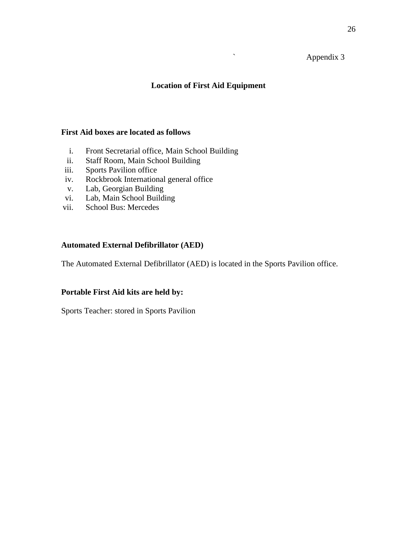### ` Appendix 3

#### **Location of First Aid Equipment**

#### **First Aid boxes are located as follows**

- i. Front Secretarial office, Main School Building
- ii. Staff Room, Main School Building
- iii. Sports Pavilion office
- iv. Rockbrook International general office
- v. Lab, Georgian Building
- vi. Lab, Main School Building
- vii. School Bus: Mercedes

#### **Automated External Defibrillator (AED)**

The Automated External Defibrillator (AED) is located in the Sports Pavilion office.

#### **Portable First Aid kits are held by:**

Sports Teacher: stored in Sports Pavilion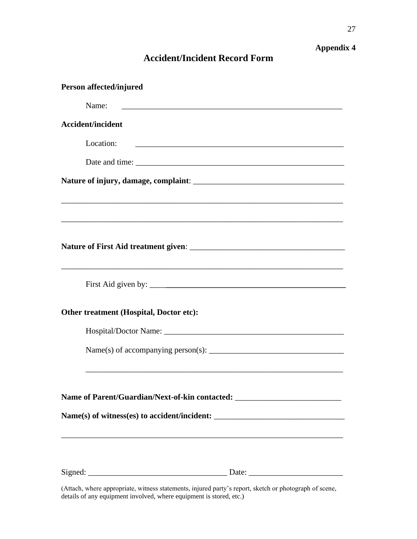## **Accident/Incident Record Form**

| Person affected/injured                                                           |
|-----------------------------------------------------------------------------------|
| Name:                                                                             |
| <b>Accident/incident</b>                                                          |
| Location:                                                                         |
|                                                                                   |
|                                                                                   |
| ,我们也不能在这里的时候,我们也不能在这里的时候,我们也不能会在这里的时候,我们也不能会在这里的时候,我们也不能会在这里的时候,我们也不能会在这里的时候,我们也不 |
|                                                                                   |
|                                                                                   |
| <u> 1989 - Johann Stoff, amerikansk politiker (d. 1989)</u>                       |
| Other treatment (Hospital, Doctor etc):                                           |
|                                                                                   |
|                                                                                   |
| Name of Parent/Guardian/Next-of-kin contacted: _________________________________  |
|                                                                                   |
|                                                                                   |
|                                                                                   |

(Attach, where appropriate, witness statements, injured party's report, sketch or photograph of scene, details of any equipment involved, where equipment is stored, etc.)

**Appendix 4**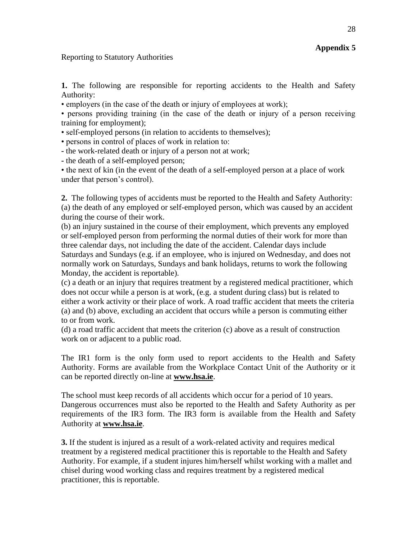#### Reporting to Statutory Authorities

**1.** The following are responsible for reporting accidents to the Health and Safety Authority:

• employers (in the case of the death or injury of employees at work);

• persons providing training (in the case of the death or injury of a person receiving training for employment);

• self-employed persons (in relation to accidents to themselves);

• persons in control of places of work in relation to:

**-** the work-related death or injury of a person not at work;

**-** the death of a self-employed person;

• the next of kin (in the event of the death of a self-employed person at a place of work under that person's control).

**2.** The following types of accidents must be reported to the Health and Safety Authority: (a) the death of any employed or self-employed person, which was caused by an accident during the course of their work.

(b) an injury sustained in the course of their employment, which prevents any employed or self-employed person from performing the normal duties of their work for more than three calendar days, not including the date of the accident. Calendar days include Saturdays and Sundays (e.g. if an employee, who is injured on Wednesday, and does not normally work on Saturdays, Sundays and bank holidays, returns to work the following Monday, the accident is reportable).

(c) a death or an injury that requires treatment by a registered medical practitioner, which does not occur while a person is at work, (e.g. a student during class) but is related to either a work activity or their place of work. A road traffic accident that meets the criteria (a) and (b) above, excluding an accident that occurs while a person is commuting either to or from work.

(d) a road traffic accident that meets the criterion (c) above as a result of construction work on or adjacent to a public road.

The IR1 form is the only form used to report accidents to the Health and Safety Authority. Forms are available from the Workplace Contact Unit of the Authority or it can be reported directly on-line at **[www.hsa.ie](http://www.hsa.ie/)**.

The school must keep records of all accidents which occur for a period of 10 years. Dangerous occurrences must also be reported to the Health and Safety Authority as per requirements of the IR3 form. The IR3 form is available from the Health and Safety Authority at **[www.hsa.ie](http://www.hsa.ie/)**.

**3.** If the student is injured as a result of a work-related activity and requires medical treatment by a registered medical practitioner this is reportable to the Health and Safety Authority. For example, if a student injures him/herself whilst working with a mallet and chisel during wood working class and requires treatment by a registered medical practitioner, this is reportable.

**Appendix 5**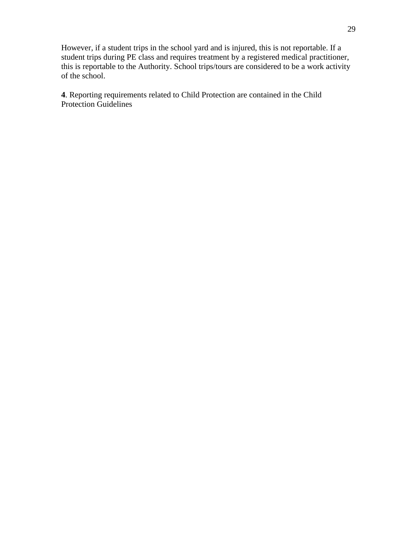However, if a student trips in the school yard and is injured, this is not reportable. If a student trips during PE class and requires treatment by a registered medical practitioner, this is reportable to the Authority. School trips/tours are considered to be a work activity of the school.

**4**. Reporting requirements related to Child Protection are contained in the Child Protection Guidelines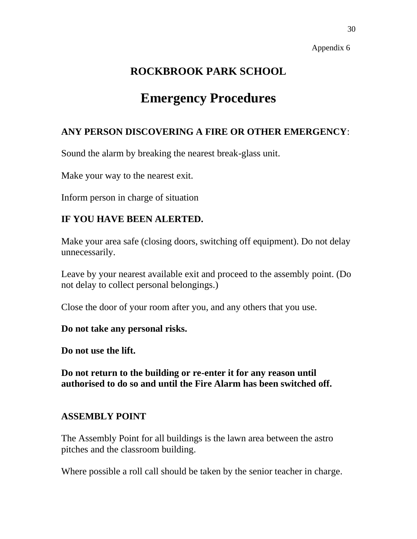## **ROCKBROOK PARK SCHOOL**

## **Emergency Procedures**

## **ANY PERSON DISCOVERING A FIRE OR OTHER EMERGENCY**:

Sound the alarm by breaking the nearest break-glass unit.

Make your way to the nearest exit.

Inform person in charge of situation

## **IF YOU HAVE BEEN ALERTED.**

Make your area safe (closing doors, switching off equipment). Do not delay unnecessarily.

Leave by your nearest available exit and proceed to the assembly point. (Do not delay to collect personal belongings.)

Close the door of your room after you, and any others that you use.

**Do not take any personal risks.**

**Do not use the lift.**

**Do not return to the building or re-enter it for any reason until authorised to do so and until the Fire Alarm has been switched off.**

## **ASSEMBLY POINT**

The Assembly Point for all buildings is the lawn area between the astro pitches and the classroom building.

Where possible a roll call should be taken by the senior teacher in charge.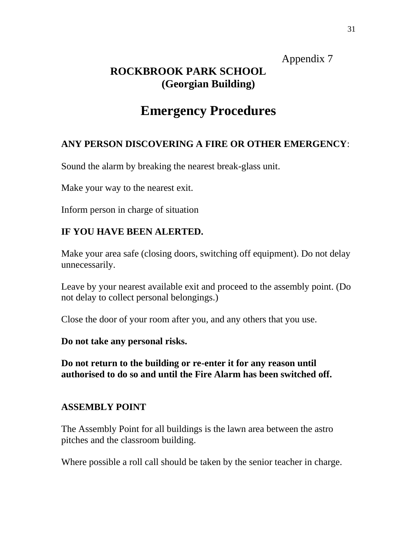## **ROCKBROOK PARK SCHOOL (Georgian Building)**

## **Emergency Procedures**

## **ANY PERSON DISCOVERING A FIRE OR OTHER EMERGENCY**:

Sound the alarm by breaking the nearest break-glass unit.

Make your way to the nearest exit.

Inform person in charge of situation

## **IF YOU HAVE BEEN ALERTED.**

Make your area safe (closing doors, switching off equipment). Do not delay unnecessarily.

Leave by your nearest available exit and proceed to the assembly point. (Do not delay to collect personal belongings.)

Close the door of your room after you, and any others that you use.

**Do not take any personal risks.**

**Do not return to the building or re-enter it for any reason until authorised to do so and until the Fire Alarm has been switched off.**

## **ASSEMBLY POINT**

The Assembly Point for all buildings is the lawn area between the astro pitches and the classroom building.

Where possible a roll call should be taken by the senior teacher in charge.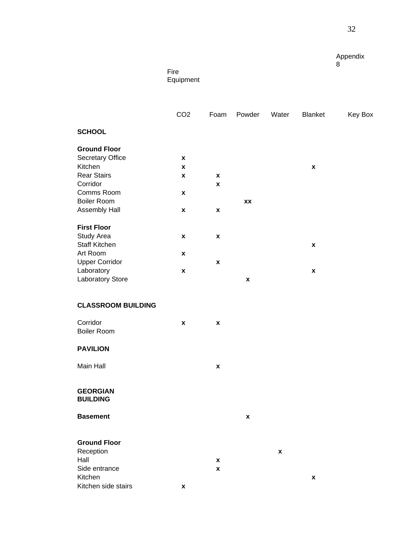Fire **Equipment** 

|                                    | CO <sub>2</sub>    | Foam               | Powder             | Water              | Blanket            | Key Box |
|------------------------------------|--------------------|--------------------|--------------------|--------------------|--------------------|---------|
| <b>SCHOOL</b>                      |                    |                    |                    |                    |                    |         |
| <b>Ground Floor</b>                |                    |                    |                    |                    |                    |         |
| Secretary Office                   | $\pmb{\mathsf{x}}$ |                    |                    |                    |                    |         |
| Kitchen                            | $\pmb{\mathsf{x}}$ |                    |                    |                    | $\pmb{\mathsf{x}}$ |         |
| <b>Rear Stairs</b>                 | $\pmb{\mathsf{x}}$ | $\pmb{\mathsf{x}}$ |                    |                    |                    |         |
| Corridor                           |                    | $\pmb{\mathsf{x}}$ |                    |                    |                    |         |
| Comms Room<br><b>Boiler Room</b>   | $\pmb{\chi}$       |                    |                    |                    |                    |         |
| Assembly Hall                      | $\pmb{\chi}$       | $\pmb{\mathsf{x}}$ | XX                 |                    |                    |         |
|                                    |                    |                    |                    |                    |                    |         |
| <b>First Floor</b>                 |                    |                    |                    |                    |                    |         |
| Study Area                         | $\pmb{\chi}$       | $\pmb{\mathsf{x}}$ |                    |                    |                    |         |
| <b>Staff Kitchen</b>               |                    |                    |                    |                    | $\pmb{\mathsf{x}}$ |         |
| Art Room                           | $\pmb{\mathsf{x}}$ |                    |                    |                    |                    |         |
| <b>Upper Corridor</b>              |                    | $\pmb{\mathsf{x}}$ |                    |                    |                    |         |
| Laboratory                         | $\pmb{\mathsf{x}}$ |                    |                    |                    | $\pmb{\mathsf{x}}$ |         |
| Laboratory Store                   |                    |                    | $\pmb{\mathsf{x}}$ |                    |                    |         |
| <b>CLASSROOM BUILDING</b>          |                    |                    |                    |                    |                    |         |
| Corridor                           | $\pmb{\chi}$       | $\pmb{\mathsf{x}}$ |                    |                    |                    |         |
| <b>Boiler Room</b>                 |                    |                    |                    |                    |                    |         |
| <b>PAVILION</b>                    |                    |                    |                    |                    |                    |         |
| Main Hall                          |                    | $\pmb{\mathsf{x}}$ |                    |                    |                    |         |
|                                    |                    |                    |                    |                    |                    |         |
| <b>GEORGIAN</b><br><b>BUILDING</b> |                    |                    |                    |                    |                    |         |
| <b>Basement</b>                    |                    |                    | X                  |                    |                    |         |
|                                    |                    |                    |                    |                    |                    |         |
| <b>Ground Floor</b>                |                    |                    |                    |                    |                    |         |
| Reception                          |                    |                    |                    | $\pmb{\mathsf{x}}$ |                    |         |
| Hall                               |                    | X                  |                    |                    |                    |         |
| Side entrance                      |                    | $\pmb{\mathsf{x}}$ |                    |                    |                    |         |
| Kitchen<br>Kitchen side stairs     |                    |                    |                    |                    | $\pmb{\mathsf{x}}$ |         |
|                                    | $\pmb{\mathsf{x}}$ |                    |                    |                    |                    |         |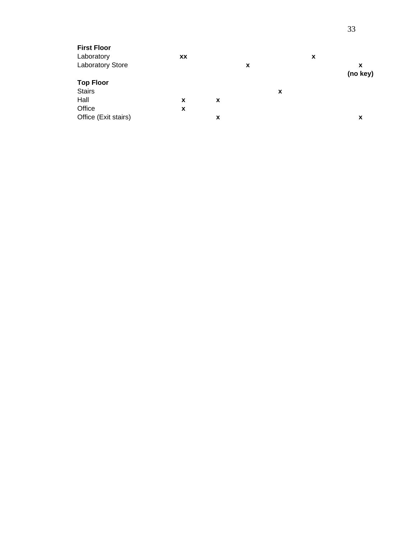| <b>First Floor</b>      |    |   |   |   |   |          |
|-------------------------|----|---|---|---|---|----------|
| Laboratory              | XX |   |   |   | x |          |
| <b>Laboratory Store</b> |    |   | X |   |   | X        |
|                         |    |   |   |   |   | (no key) |
| <b>Top Floor</b>        |    |   |   |   |   |          |
| <b>Stairs</b>           |    |   |   | X |   |          |
| Hall                    | X  | X |   |   |   |          |
| Office                  | X  |   |   |   |   |          |
| Office (Exit stairs)    |    | x |   |   |   | х        |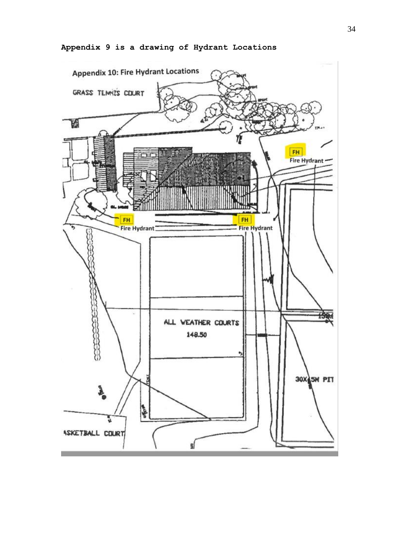

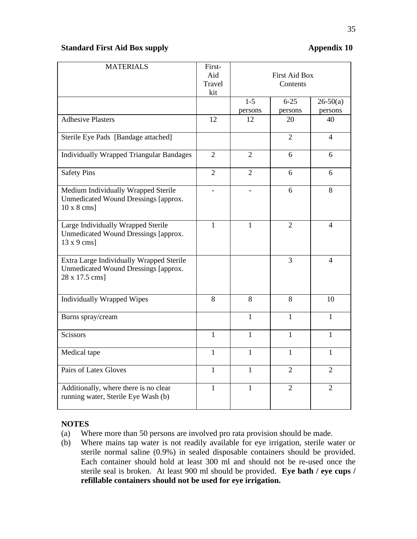#### **Standard First Aid Box supply Appendix 10**

| <b>MATERIALS</b>                                                                                   | First-<br>Aid<br>Travel<br>kit | <b>First Aid Box</b><br>Contents |                     |                       |  |
|----------------------------------------------------------------------------------------------------|--------------------------------|----------------------------------|---------------------|-----------------------|--|
|                                                                                                    |                                | $1-5$<br>persons                 | $6 - 25$<br>persons | $26-50(a)$<br>persons |  |
| <b>Adhesive Plasters</b>                                                                           | 12                             | 12                               | 20                  | 40                    |  |
| Sterile Eye Pads [Bandage attached]                                                                |                                |                                  | $\overline{2}$      | $\overline{4}$        |  |
| <b>Individually Wrapped Triangular Bandages</b>                                                    | $\overline{2}$                 | $\overline{2}$                   | 6                   | 6                     |  |
| <b>Safety Pins</b>                                                                                 | $\overline{2}$                 | $\overline{2}$                   | 6                   | 6                     |  |
| Medium Individually Wrapped Sterile<br>Unmedicated Wound Dressings [approx.<br>$10 \times 8$ cms]  |                                |                                  | 6                   | 8                     |  |
| Large Individually Wrapped Sterile<br>Unmedicated Wound Dressings [approx.<br>$13 \times 9$ cms]   | $\mathbf{1}$                   | 1                                | $\overline{2}$      | $\overline{4}$        |  |
| Extra Large Individually Wrapped Sterile<br>Unmedicated Wound Dressings [approx.<br>28 x 17.5 cms] |                                |                                  | 3                   | $\overline{4}$        |  |
| <b>Individually Wrapped Wipes</b>                                                                  | 8                              | 8                                | 8                   | 10                    |  |
| Burns spray/cream                                                                                  |                                | $\mathbf{1}$                     | $\mathbf{1}$        | $\mathbf{1}$          |  |
| <b>Scissors</b>                                                                                    | 1                              | $\mathbf{1}$                     | 1                   | 1                     |  |
| Medical tape                                                                                       | $\mathbf{1}$                   | $\mathbf{1}$                     | $\mathbf{1}$        | $\mathbf{1}$          |  |
| Pairs of Latex Gloves                                                                              | $\mathbf{1}$                   | $\mathbf{1}$                     | $\overline{2}$      | $\overline{2}$        |  |
| Additionally, where there is no clear<br>running water, Sterile Eye Wash (b)                       | $\mathbf{1}$                   | 1                                | $\overline{2}$      | $\overline{2}$        |  |

#### **NOTES**

- (a) Where more than 50 persons are involved pro rata provision should be made.
- (b) Where mains tap water is not readily available for eye irrigation, sterile water or sterile normal saline (0.9%) in sealed disposable containers should be provided. Each container should hold at least 300 ml and should not be re-used once the sterile seal is broken. At least 900 ml should be provided. **Eye bath / eye cups / refillable containers should not be used for eye irrigation.**